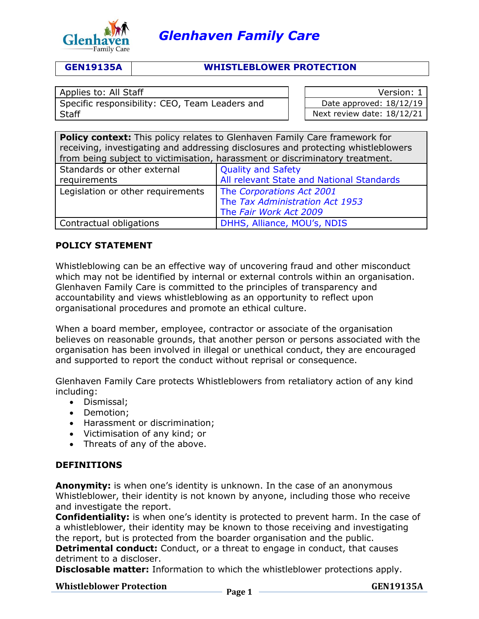

# **GEN19135A WHISTLEBLOWER PROTECTION**

Specific responsibility: CEO, Team Leaders and **Staff** 

Applies to: All Staff Version: 1 Date approved: 18/12/19 Next review date: 18/12/21

| <b>Policy context:</b> This policy relates to Glenhaven Family Care framework for |                                           |  |
|-----------------------------------------------------------------------------------|-------------------------------------------|--|
| receiving, investigating and addressing disclosures and protecting whistleblowers |                                           |  |
| from being subject to victimisation, harassment or discriminatory treatment.      |                                           |  |
| Standards or other external                                                       | <b>Quality and Safety</b>                 |  |
| requirements                                                                      | All relevant State and National Standards |  |
| Legislation or other requirements                                                 | The Corporations Act 2001                 |  |
|                                                                                   | The Tax Administration Act 1953           |  |
|                                                                                   | The Fair Work Act 2009                    |  |
| Contractual obligations                                                           | DHHS, Alliance, MOU's, NDIS               |  |

# **POLICY STATEMENT**

Whistleblowing can be an effective way of uncovering fraud and other misconduct which may not be identified by internal or external controls within an organisation. Glenhaven Family Care is committed to the principles of transparency and accountability and views whistleblowing as an opportunity to reflect upon organisational procedures and promote an ethical culture.

When a board member, employee, contractor or associate of the organisation believes on reasonable grounds, that another person or persons associated with the organisation has been involved in illegal or unethical conduct, they are encouraged and supported to report the conduct without reprisal or consequence.

Glenhaven Family Care protects Whistleblowers from retaliatory action of any kind including:

- Dismissal;
- Demotion;
- Harassment or discrimination;
- Victimisation of any kind; or
- Threats of any of the above.

# **DEFINITIONS**

**Anonymity:** is when one's identity is unknown. In the case of an anonymous Whistleblower, their identity is not known by anyone, including those who receive and investigate the report.

**Confidentiality:** is when one's identity is protected to prevent harm. In the case of a whistleblower, their identity may be known to those receiving and investigating the report, but is protected from the boarder organisation and the public.

**Detrimental conduct:** Conduct, or a threat to engage in conduct, that causes detriment to a discloser.

**Disclosable matter:** Information to which the whistleblower protections apply.

# **Whistleblower Protection** Page 1

**GEN19135A**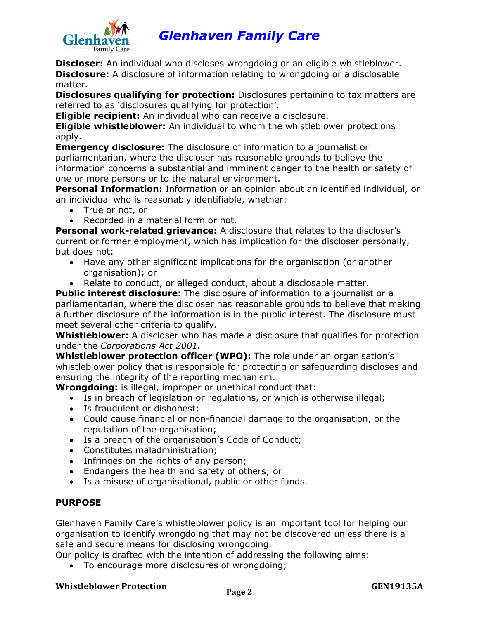

**Discloser:** An individual who discloses wrongdoing or an eligible whistleblower. **Disclosure:** A disclosure of information relating to wrongdoing or a disclosable matter.

**Disclosures qualifying for protection:** Disclosures pertaining to tax matters are referred to as 'disclosures qualifying for protection'.

**Eligible recipient:** An individual who can receive a disclosure.

**Eligible whistleblower:** An individual to whom the whistleblower protections apply.

**Emergency disclosure:** The disclosure of information to a journalist or parliamentarian, where the discloser has reasonable grounds to believe the information concerns a substantial and imminent danger to the health or safety of one or more persons or to the natural environment.

**Personal Information:** Information or an opinion about an identified individual, or an individual who is reasonably identifiable, whether:

- True or not, or
- Recorded in a material form or not.

**Personal work-related grievance:** A disclosure that relates to the discloser's current or former employment, which has implication for the discloser personally, but does not:

- Have any other significant implications for the organisation (or another organisation); or
- Relate to conduct, or alleged conduct, about a disclosable matter.

**Public interest disclosure:** The disclosure of information to a journalist or a parliamentarian, where the discloser has reasonable grounds to believe that making a further disclosure of the information is in the public interest. The disclosure must meet several other criteria to qualify.

**Whistleblower:** A discloser who has made a disclosure that qualifies for protection under the *Corporations Act 2001.*

**Whistleblower protection officer (WPO):** The role under an organisation's whistleblower policy that is responsible for protecting or safeguarding discloses and ensuring the integrity of the reporting mechanism.

**Wrongdoing:** is illegal, improper or unethical conduct that:

- Is in breach of legislation or regulations, or which is otherwise illegal;
- Is fraudulent or dishonest;
- Could cause financial or non-financial damage to the organisation, or the reputation of the organisation;
- Is a breach of the organisation's Code of Conduct;
- Constitutes maladministration;
- Infringes on the rights of any person;
- Endangers the health and safety of others; or
- Is a misuse of organisational, public or other funds.

# **PURPOSE**

Glenhaven Family Care's whistleblower policy is an important tool for helping our organisation to identify wrongdoing that may not be discovered unless there is a safe and secure means for disclosing wrongdoing.

Our policy is drafted with the intention of addressing the following aims:

• To encourage more disclosures of wrongdoing;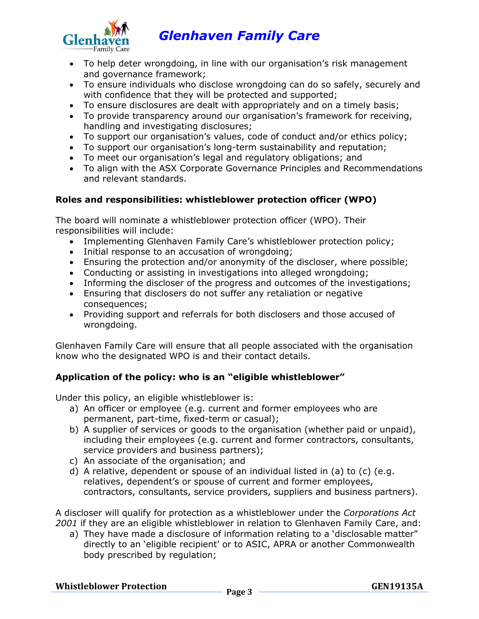

- To help deter wrongdoing, in line with our organisation's risk management and governance framework;
- To ensure individuals who disclose wrongdoing can do so safely, securely and with confidence that they will be protected and supported;
- To ensure disclosures are dealt with appropriately and on a timely basis;
- To provide transparency around our organisation's framework for receiving, handling and investigating disclosures;
- To support our organisation's values, code of conduct and/or ethics policy;
- To support our organisation's long-term sustainability and reputation;
- To meet our organisation's legal and regulatory obligations; and
- To align with the ASX Corporate Governance Principles and Recommendations and relevant standards.

# **Roles and responsibilities: whistleblower protection officer (WPO)**

The board will nominate a whistleblower protection officer (WPO). Their responsibilities will include:

- Implementing Glenhaven Family Care's whistleblower protection policy;
- Initial response to an accusation of wrongdoing;
- Ensuring the protection and/or anonymity of the discloser, where possible;
- Conducting or assisting in investigations into alleged wrongdoing;
- Informing the discloser of the progress and outcomes of the investigations;
- Ensuring that disclosers do not suffer any retaliation or negative consequences;
- Providing support and referrals for both disclosers and those accused of wrongdoing.

Glenhaven Family Care will ensure that all people associated with the organisation know who the designated WPO is and their contact details.

# **Application of the policy: who is an "eligible whistleblower"**

Under this policy, an eligible whistleblower is:

- a) An officer or employee (e.g. current and former employees who are permanent, part-time, fixed-term or casual);
- b) A supplier of services or goods to the organisation (whether paid or unpaid), including their employees (e.g. current and former contractors, consultants, service providers and business partners);
- c) An associate of the organisation; and
- d) A relative, dependent or spouse of an individual listed in (a) to (c) (e.g. relatives, dependent's or spouse of current and former employees, contractors, consultants, service providers, suppliers and business partners).

A discloser will qualify for protection as a whistleblower under the *Corporations Act 2001* if they are an eligible whistleblower in relation to Glenhaven Family Care, and:

a) They have made a disclosure of information relating to a 'disclosable matter" directly to an 'eligible recipient' or to ASIC, APRA or another Commonwealth body prescribed by regulation;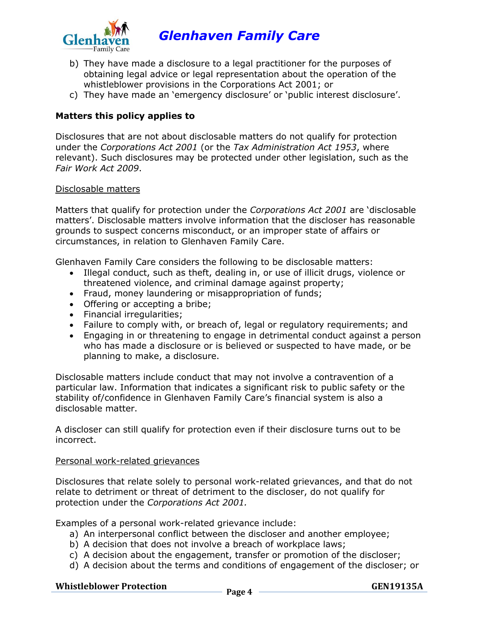

- b) They have made a disclosure to a legal practitioner for the purposes of obtaining legal advice or legal representation about the operation of the whistleblower provisions in the Corporations Act 2001; or
- c) They have made an 'emergency disclosure' or 'public interest disclosure'.

# **Matters this policy applies to**

Disclosures that are not about disclosable matters do not qualify for protection under the *Corporations Act 2001* (or the *Tax Administration Act 1953*, where relevant). Such disclosures may be protected under other legislation, such as the *Fair Work Act 2009*.

### Disclosable matters

Matters that qualify for protection under the *Corporations Act 2001* are 'disclosable matters'. Disclosable matters involve information that the discloser has reasonable grounds to suspect concerns misconduct, or an improper state of affairs or circumstances, in relation to Glenhaven Family Care.

Glenhaven Family Care considers the following to be disclosable matters:

- Illegal conduct, such as theft, dealing in, or use of illicit drugs, violence or threatened violence, and criminal damage against property;
- Fraud, money laundering or misappropriation of funds;
- Offering or accepting a bribe;
- Financial irregularities;
- Failure to comply with, or breach of, legal or regulatory requirements; and
- Engaging in or threatening to engage in detrimental conduct against a person who has made a disclosure or is believed or suspected to have made, or be planning to make, a disclosure.

Disclosable matters include conduct that may not involve a contravention of a particular law. Information that indicates a significant risk to public safety or the stability of/confidence in Glenhaven Family Care's financial system is also a disclosable matter.

A discloser can still qualify for protection even if their disclosure turns out to be incorrect.

#### Personal work-related grievances

Disclosures that relate solely to personal work-related grievances, and that do not relate to detriment or threat of detriment to the discloser, do not qualify for protection under the *Corporations Act 2001.*

Examples of a personal work-related grievance include:

- a) An interpersonal conflict between the discloser and another employee;
- b) A decision that does not involve a breach of workplace laws;
- c) A decision about the engagement, transfer or promotion of the discloser;
- d) A decision about the terms and conditions of engagement of the discloser; or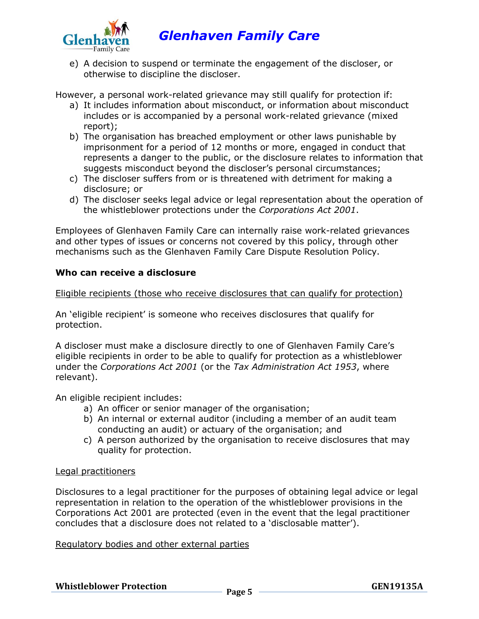

e) A decision to suspend or terminate the engagement of the discloser, or otherwise to discipline the discloser.

However, a personal work-related grievance may still qualify for protection if:

- a) It includes information about misconduct, or information about misconduct includes or is accompanied by a personal work-related grievance (mixed report);
- b) The organisation has breached employment or other laws punishable by imprisonment for a period of 12 months or more, engaged in conduct that represents a danger to the public, or the disclosure relates to information that suggests misconduct beyond the discloser's personal circumstances;
- c) The discloser suffers from or is threatened with detriment for making a disclosure; or
- d) The discloser seeks legal advice or legal representation about the operation of the whistleblower protections under the *Corporations Act 2001*.

Employees of Glenhaven Family Care can internally raise work-related grievances and other types of issues or concerns not covered by this policy, through other mechanisms such as the Glenhaven Family Care Dispute Resolution Policy.

# **Who can receive a disclosure**

Eligible recipients (those who receive disclosures that can qualify for protection)

An 'eligible recipient' is someone who receives disclosures that qualify for protection.

A discloser must make a disclosure directly to one of Glenhaven Family Care's eligible recipients in order to be able to qualify for protection as a whistleblower under the *Corporations Act 2001* (or the *Tax Administration Act 1953*, where relevant).

An eligible recipient includes:

- a) An officer or senior manager of the organisation;
- b) An internal or external auditor (including a member of an audit team conducting an audit) or actuary of the organisation; and
- c) A person authorized by the organisation to receive disclosures that may quality for protection.

#### Legal practitioners

Disclosures to a legal practitioner for the purposes of obtaining legal advice or legal representation in relation to the operation of the whistleblower provisions in the Corporations Act 2001 are protected (even in the event that the legal practitioner concludes that a disclosure does not related to a 'disclosable matter').

#### Regulatory bodies and other external parties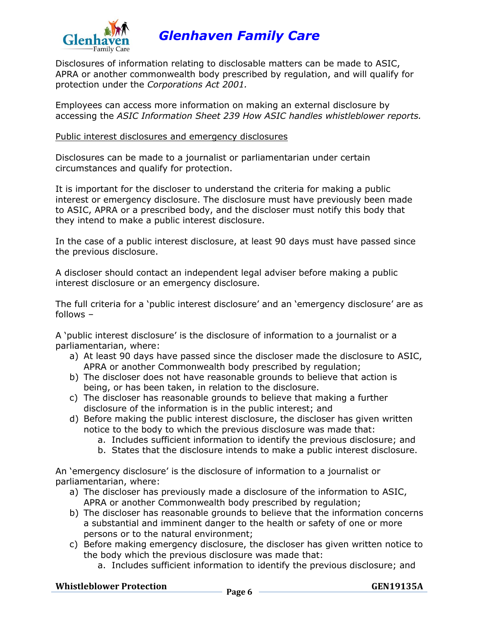

Disclosures of information relating to disclosable matters can be made to ASIC, APRA or another commonwealth body prescribed by regulation, and will qualify for protection under the *Corporations Act 2001.*

Employees can access more information on making an external disclosure by accessing the *ASIC Information Sheet 239 How ASIC handles whistleblower reports.*

#### Public interest disclosures and emergency disclosures

Disclosures can be made to a journalist or parliamentarian under certain circumstances and qualify for protection.

It is important for the discloser to understand the criteria for making a public interest or emergency disclosure. The disclosure must have previously been made to ASIC, APRA or a prescribed body, and the discloser must notify this body that they intend to make a public interest disclosure.

In the case of a public interest disclosure, at least 90 days must have passed since the previous disclosure.

A discloser should contact an independent legal adviser before making a public interest disclosure or an emergency disclosure.

The full criteria for a 'public interest disclosure' and an 'emergency disclosure' are as follows –

A 'public interest disclosure' is the disclosure of information to a journalist or a parliamentarian, where:

- a) At least 90 days have passed since the discloser made the disclosure to ASIC, APRA or another Commonwealth body prescribed by regulation;
- b) The discloser does not have reasonable grounds to believe that action is being, or has been taken, in relation to the disclosure.
- c) The discloser has reasonable grounds to believe that making a further disclosure of the information is in the public interest; and
- d) Before making the public interest disclosure, the discloser has given written notice to the body to which the previous disclosure was made that:
	- a. Includes sufficient information to identify the previous disclosure; and
	- b. States that the disclosure intends to make a public interest disclosure.

An 'emergency disclosure' is the disclosure of information to a journalist or parliamentarian, where:

- a) The discloser has previously made a disclosure of the information to ASIC, APRA or another Commonwealth body prescribed by regulation;
- b) The discloser has reasonable grounds to believe that the information concerns a substantial and imminent danger to the health or safety of one or more persons or to the natural environment;
- c) Before making emergency disclosure, the discloser has given written notice to the body which the previous disclosure was made that:
	- a. Includes sufficient information to identify the previous disclosure; and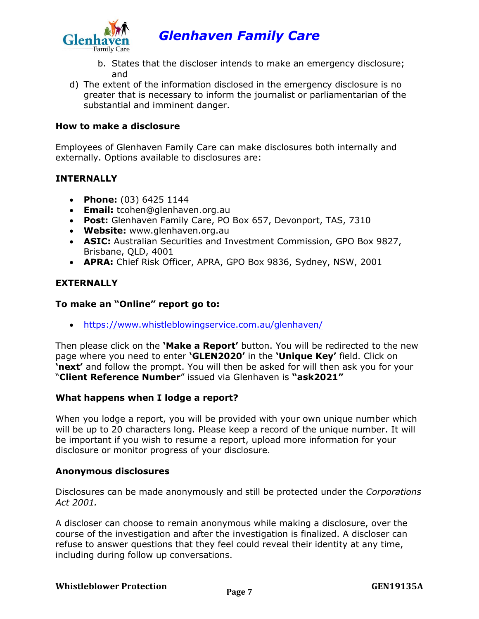

- b. States that the discloser intends to make an emergency disclosure; and
- d) The extent of the information disclosed in the emergency disclosure is no greater that is necessary to inform the journalist or parliamentarian of the substantial and imminent danger.

### **How to make a disclosure**

Employees of Glenhaven Family Care can make disclosures both internally and externally. Options available to disclosures are:

# **INTERNALLY**

- **Phone:** (03) 6425 1144
- **Email:** tcohen@glenhaven.org.au
- **Post:** Glenhaven Family Care, PO Box 657, Devonport, TAS, 7310
- **Website:** www.glenhaven.org.au
- **ASIC:** Australian Securities and Investment Commission, GPO Box 9827, Brisbane, QLD, 4001
- **APRA:** Chief Risk Officer, APRA, GPO Box 9836, Sydney, NSW, 2001

# **EXTERNALLY**

# **To make an "Online" report go to:**

• <https://www.whistleblowingservice.com.au/glenhaven/>

Then please click on the **'Make a Report'** button. You will be redirected to the new page where you need to enter **'GLEN2020'** in the **'Unique Key'** field. Click on **'next'** and follow the prompt. You will then be asked for will then ask you for your "**Client Reference Number**" issued via Glenhaven is **"ask2021"**

# **What happens when I lodge a report?**

When you lodge a report, you will be provided with your own unique number which will be up to 20 characters long. Please keep a record of the unique number. It will be important if you wish to resume a report, upload more information for your disclosure or monitor progress of your disclosure.

#### **Anonymous disclosures**

Disclosures can be made anonymously and still be protected under the *Corporations Act 2001.*

A discloser can choose to remain anonymous while making a disclosure, over the course of the investigation and after the investigation is finalized. A discloser can refuse to answer questions that they feel could reveal their identity at any time, including during follow up conversations.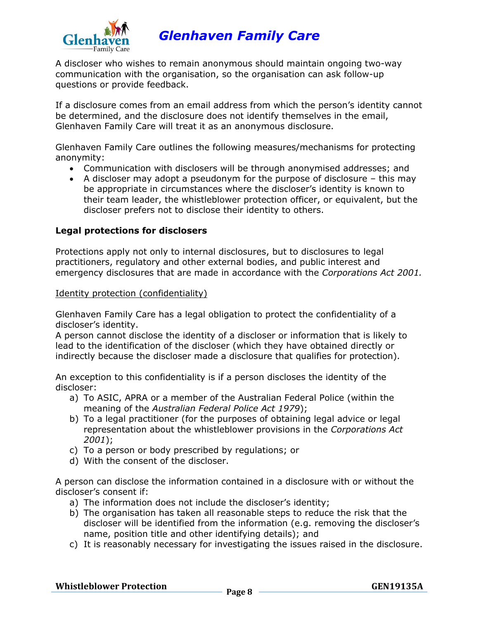

A discloser who wishes to remain anonymous should maintain ongoing two-way communication with the organisation, so the organisation can ask follow-up questions or provide feedback.

If a disclosure comes from an email address from which the person's identity cannot be determined, and the disclosure does not identify themselves in the email, Glenhaven Family Care will treat it as an anonymous disclosure.

Glenhaven Family Care outlines the following measures/mechanisms for protecting anonymity:

- Communication with disclosers will be through anonymised addresses; and
- A discloser may adopt a pseudonym for the purpose of disclosure this may be appropriate in circumstances where the discloser's identity is known to their team leader, the whistleblower protection officer, or equivalent, but the discloser prefers not to disclose their identity to others.

#### **Legal protections for disclosers**

Protections apply not only to internal disclosures, but to disclosures to legal practitioners, regulatory and other external bodies, and public interest and emergency disclosures that are made in accordance with the *Corporations Act 2001.*

#### Identity protection (confidentiality)

Glenhaven Family Care has a legal obligation to protect the confidentiality of a discloser's identity.

A person cannot disclose the identity of a discloser or information that is likely to lead to the identification of the discloser (which they have obtained directly or indirectly because the discloser made a disclosure that qualifies for protection).

An exception to this confidentiality is if a person discloses the identity of the discloser:

- a) To ASIC, APRA or a member of the Australian Federal Police (within the meaning of the *Australian Federal Police Act 1979*);
- b) To a legal practitioner (for the purposes of obtaining legal advice or legal representation about the whistleblower provisions in the *Corporations Act 2001*);
- c) To a person or body prescribed by regulations; or
- d) With the consent of the discloser.

A person can disclose the information contained in a disclosure with or without the discloser's consent if:

- a) The information does not include the discloser's identity;
- b) The organisation has taken all reasonable steps to reduce the risk that the discloser will be identified from the information (e.g. removing the discloser's name, position title and other identifying details); and
- c) It is reasonably necessary for investigating the issues raised in the disclosure.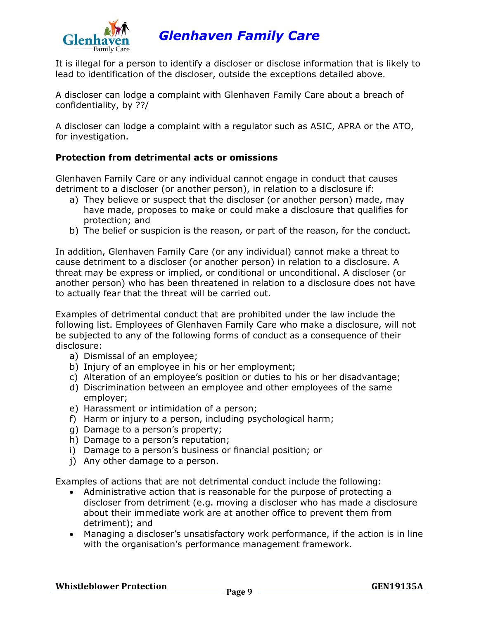

It is illegal for a person to identify a discloser or disclose information that is likely to lead to identification of the discloser, outside the exceptions detailed above.

A discloser can lodge a complaint with Glenhaven Family Care about a breach of confidentiality, by ??/

A discloser can lodge a complaint with a regulator such as ASIC, APRA or the ATO, for investigation.

# **Protection from detrimental acts or omissions**

Glenhaven Family Care or any individual cannot engage in conduct that causes detriment to a discloser (or another person), in relation to a disclosure if:

- a) They believe or suspect that the discloser (or another person) made, may have made, proposes to make or could make a disclosure that qualifies for protection; and
- b) The belief or suspicion is the reason, or part of the reason, for the conduct.

In addition, Glenhaven Family Care (or any individual) cannot make a threat to cause detriment to a discloser (or another person) in relation to a disclosure. A threat may be express or implied, or conditional or unconditional. A discloser (or another person) who has been threatened in relation to a disclosure does not have to actually fear that the threat will be carried out.

Examples of detrimental conduct that are prohibited under the law include the following list. Employees of Glenhaven Family Care who make a disclosure, will not be subjected to any of the following forms of conduct as a consequence of their disclosure:

- a) Dismissal of an employee;
- b) Injury of an employee in his or her employment;
- c) Alteration of an employee's position or duties to his or her disadvantage;
- d) Discrimination between an employee and other employees of the same employer;
- e) Harassment or intimidation of a person;
- f) Harm or injury to a person, including psychological harm;
- g) Damage to a person's property;
- h) Damage to a person's reputation;
- i) Damage to a person's business or financial position; or
- j) Any other damage to a person.

Examples of actions that are not detrimental conduct include the following:

- Administrative action that is reasonable for the purpose of protecting a discloser from detriment (e.g. moving a discloser who has made a disclosure about their immediate work are at another office to prevent them from detriment); and
- Managing a discloser's unsatisfactory work performance, if the action is in line with the organisation's performance management framework.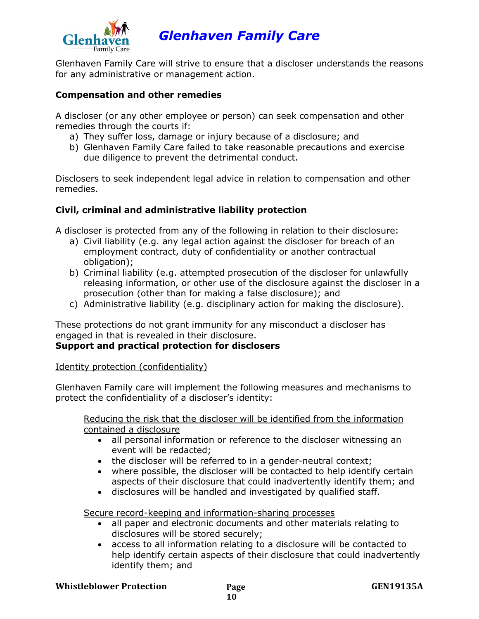

Glenhaven Family Care will strive to ensure that a discloser understands the reasons for any administrative or management action.

# **Compensation and other remedies**

A discloser (or any other employee or person) can seek compensation and other remedies through the courts if:

- a) They suffer loss, damage or injury because of a disclosure; and
- b) Glenhaven Family Care failed to take reasonable precautions and exercise due diligence to prevent the detrimental conduct.

Disclosers to seek independent legal advice in relation to compensation and other remedies.

# **Civil, criminal and administrative liability protection**

A discloser is protected from any of the following in relation to their disclosure:

- a) Civil liability (e.g. any legal action against the discloser for breach of an employment contract, duty of confidentiality or another contractual obligation);
- b) Criminal liability (e.g. attempted prosecution of the discloser for unlawfully releasing information, or other use of the disclosure against the discloser in a prosecution (other than for making a false disclosure); and
- c) Administrative liability (e.g. disciplinary action for making the disclosure).

These protections do not grant immunity for any misconduct a discloser has engaged in that is revealed in their disclosure.

# **Support and practical protection for disclosers**

# Identity protection (confidentiality)

Glenhaven Family care will implement the following measures and mechanisms to protect the confidentiality of a discloser's identity:

Reducing the risk that the discloser will be identified from the information contained a disclosure

- all personal information or reference to the discloser witnessing an event will be redacted;
- the discloser will be referred to in a gender-neutral context;
- where possible, the discloser will be contacted to help identify certain aspects of their disclosure that could inadvertently identify them; and
- disclosures will be handled and investigated by qualified staff.

Secure record-keeping and information-sharing processes

- all paper and electronic documents and other materials relating to disclosures will be stored securely;
- access to all information relating to a disclosure will be contacted to help identify certain aspects of their disclosure that could inadvertently identify them; and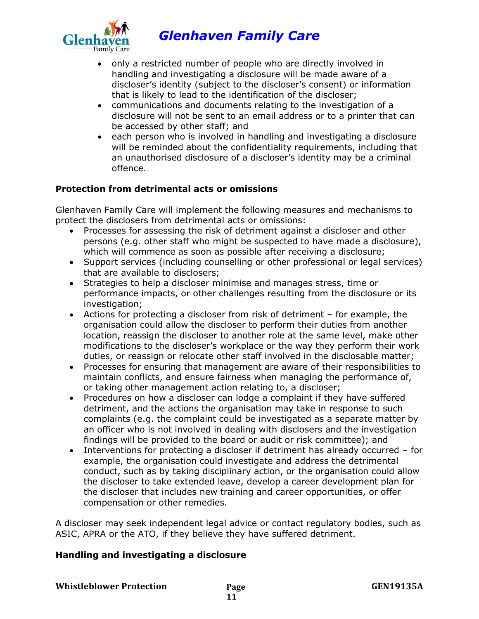

- only a restricted number of people who are directly involved in handling and investigating a disclosure will be made aware of a discloser's identity (subject to the discloser's consent) or information that is likely to lead to the identification of the discloser;
- communications and documents relating to the investigation of a disclosure will not be sent to an email address or to a printer that can be accessed by other staff; and
- each person who is involved in handling and investigating a disclosure will be reminded about the confidentiality requirements, including that an unauthorised disclosure of a discloser's identity may be a criminal offence.

# **Protection from detrimental acts or omissions**

Glenhaven Family Care will implement the following measures and mechanisms to protect the disclosers from detrimental acts or omissions:

- Processes for assessing the risk of detriment against a discloser and other persons (e.g. other staff who might be suspected to have made a disclosure), which will commence as soon as possible after receiving a disclosure;
- Support services (including counselling or other professional or legal services) that are available to disclosers;
- Strategies to help a discloser minimise and manages stress, time or performance impacts, or other challenges resulting from the disclosure or its investigation;
- Actions for protecting a discloser from risk of detriment for example, the organisation could allow the discloser to perform their duties from another location, reassign the discloser to another role at the same level, make other modifications to the discloser's workplace or the way they perform their work duties, or reassign or relocate other staff involved in the disclosable matter;
- Processes for ensuring that management are aware of their responsibilities to maintain conflicts, and ensure fairness when managing the performance of, or taking other management action relating to, a discloser;
- Procedures on how a discloser can lodge a complaint if they have suffered detriment, and the actions the organisation may take in response to such complaints (e.g. the complaint could be investigated as a separate matter by an officer who is not involved in dealing with disclosers and the investigation findings will be provided to the board or audit or risk committee); and
- Interventions for protecting a discloser if detriment has already occurred for example, the organisation could investigate and address the detrimental conduct, such as by taking disciplinary action, or the organisation could allow the discloser to take extended leave, develop a career development plan for the discloser that includes new training and career opportunities, or offer compensation or other remedies.

A discloser may seek independent legal advice or contact regulatory bodies, such as ASIC, APRA or the ATO, if they believe they have suffered detriment.

# **Handling and investigating a disclosure**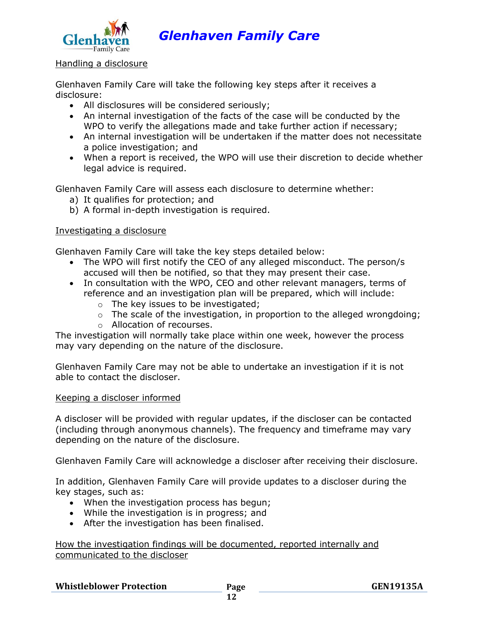

#### Handling a disclosure

Glenhaven Family Care will take the following key steps after it receives a disclosure:

- All disclosures will be considered seriously;
- An internal investigation of the facts of the case will be conducted by the WPO to verify the allegations made and take further action if necessary;
- An internal investigation will be undertaken if the matter does not necessitate a police investigation; and
- When a report is received, the WPO will use their discretion to decide whether legal advice is required.

Glenhaven Family Care will assess each disclosure to determine whether:

- a) It qualifies for protection; and
- b) A formal in-depth investigation is required.

# Investigating a disclosure

Glenhaven Family Care will take the key steps detailed below:

- The WPO will first notify the CEO of any alleged misconduct. The person/s accused will then be notified, so that they may present their case.
- In consultation with the WPO, CEO and other relevant managers, terms of reference and an investigation plan will be prepared, which will include:
	- o The key issues to be investigated;
	- $\circ$  The scale of the investigation, in proportion to the alleged wrongdoing;
	- o Allocation of recourses.

The investigation will normally take place within one week, however the process may vary depending on the nature of the disclosure.

Glenhaven Family Care may not be able to undertake an investigation if it is not able to contact the discloser.

#### Keeping a discloser informed

A discloser will be provided with regular updates, if the discloser can be contacted (including through anonymous channels). The frequency and timeframe may vary depending on the nature of the disclosure.

Glenhaven Family Care will acknowledge a discloser after receiving their disclosure.

In addition, Glenhaven Family Care will provide updates to a discloser during the key stages, such as:

- When the investigation process has begun;
- While the investigation is in progress; and
- After the investigation has been finalised.

How the investigation findings will be documented, reported internally and communicated to the discloser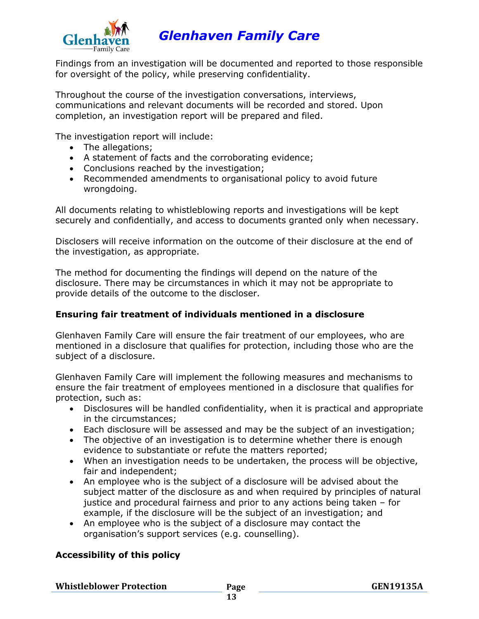

Findings from an investigation will be documented and reported to those responsible for oversight of the policy, while preserving confidentiality.

Throughout the course of the investigation conversations, interviews, communications and relevant documents will be recorded and stored. Upon completion, an investigation report will be prepared and filed.

The investigation report will include:

- The allegations;
- A statement of facts and the corroborating evidence;
- Conclusions reached by the investigation;
- Recommended amendments to organisational policy to avoid future wrongdoing.

All documents relating to whistleblowing reports and investigations will be kept securely and confidentially, and access to documents granted only when necessary.

Disclosers will receive information on the outcome of their disclosure at the end of the investigation, as appropriate.

The method for documenting the findings will depend on the nature of the disclosure. There may be circumstances in which it may not be appropriate to provide details of the outcome to the discloser.

# **Ensuring fair treatment of individuals mentioned in a disclosure**

Glenhaven Family Care will ensure the fair treatment of our employees, who are mentioned in a disclosure that qualifies for protection, including those who are the subject of a disclosure.

Glenhaven Family Care will implement the following measures and mechanisms to ensure the fair treatment of employees mentioned in a disclosure that qualifies for protection, such as:

- Disclosures will be handled confidentiality, when it is practical and appropriate in the circumstances;
- Each disclosure will be assessed and may be the subject of an investigation;
- The objective of an investigation is to determine whether there is enough evidence to substantiate or refute the matters reported;
- When an investigation needs to be undertaken, the process will be objective, fair and independent;
- An employee who is the subject of a disclosure will be advised about the subject matter of the disclosure as and when required by principles of natural justice and procedural fairness and prior to any actions being taken – for example, if the disclosure will be the subject of an investigation; and
- An employee who is the subject of a disclosure may contact the organisation's support services (e.g. counselling).

# **Accessibility of this policy**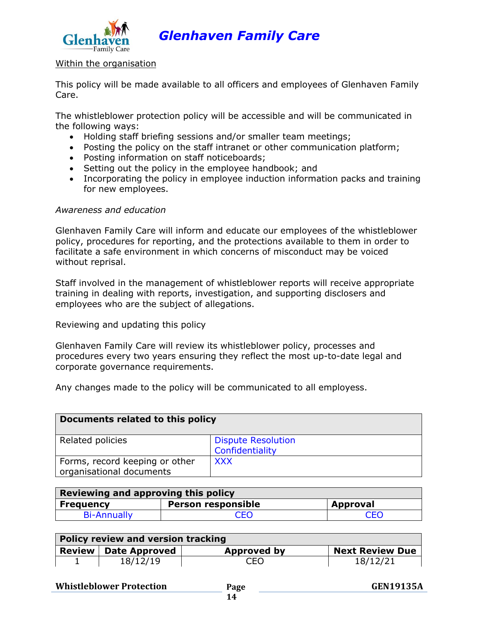

#### Within the organisation

This policy will be made available to all officers and employees of Glenhaven Family Care.

The whistleblower protection policy will be accessible and will be communicated in the following ways:

- Holding staff briefing sessions and/or smaller team meetings;
- Posting the policy on the staff intranet or other communication platform;
- Posting information on staff noticeboards;
- Setting out the policy in the employee handbook; and
- Incorporating the policy in employee induction information packs and training for new employees.

#### *Awareness and education*

Glenhaven Family Care will inform and educate our employees of the whistleblower policy, procedures for reporting, and the protections available to them in order to facilitate a safe environment in which concerns of misconduct may be voiced without reprisal.

Staff involved in the management of whistleblower reports will receive appropriate training in dealing with reports, investigation, and supporting disclosers and employees who are the subject of allegations.

Reviewing and updating this policy

Glenhaven Family Care will review its whistleblower policy, processes and procedures every two years ensuring they reflect the most up-to-date legal and corporate governance requirements.

Any changes made to the policy will be communicated to all employess.

| Documents related to this policy                           |                                              |
|------------------------------------------------------------|----------------------------------------------|
| Related policies                                           | <b>Dispute Resolution</b><br>Confidentiality |
| Forms, record keeping or other<br>organisational documents | <b>XXX</b>                                   |

| <b>Reviewing and approving this policy</b> |                           |                 |  |
|--------------------------------------------|---------------------------|-----------------|--|
| <b>Frequency</b>                           | <b>Person responsible</b> | <b>Approval</b> |  |
| <b>Bi-Annually</b>                         | CEO                       | CEC             |  |

| Policy review and version tracking |                               |             |                        |
|------------------------------------|-------------------------------|-------------|------------------------|
|                                    | <b>Review   Date Approved</b> | Approved by | <b>Next Review Due</b> |
| ᅩ                                  | 18/12/19                      | CEO         | 18/12/21               |